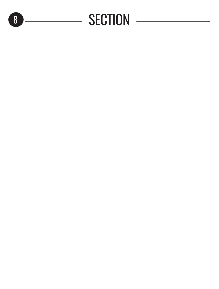## 8 SECTION